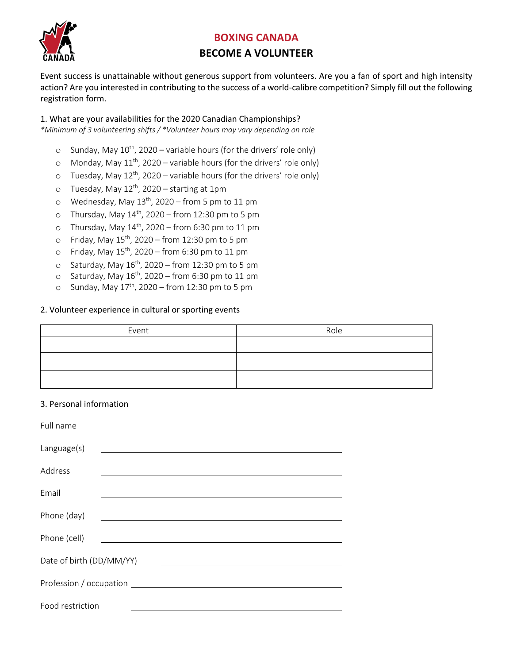

# **BOXING CANADA**

# **BECOME A VOLUNTEER**

Event success is unattainable without generous support from volunteers. Are you a fan of sport and high intensity action? Are you interested in contributing to the success of a world-calibre competition? Simply fill out the following registration form.

1. What are your availabilities for the 2020 Canadian Championships?

*\*Minimum of 3 volunteering shifts / \*Volunteer hours may vary depending on role*

- o Sunday, May  $10^{th}$ , 2020 variable hours (for the drivers' role only)
- o Monday, May  $11^{th}$ , 2020 variable hours (for the drivers' role only)
- $\circ$  Tuesday, May 12<sup>th</sup>, 2020 variable hours (for the drivers' role only)
- o Tuesday, May  $12^{th}$ , 2020 starting at 1pm
- o Wednesday, May  $13^{th}$ , 2020 from 5 pm to 11 pm
- o Thursday, May  $14^{th}$ , 2020 from 12:30 pm to 5 pm
- o Thursday, May  $14<sup>th</sup>$ , 2020 from 6:30 pm to 11 pm
- o Friday, May  $15^{th}$ , 2020 from 12:30 pm to 5 pm
- o Friday, May  $15^{th}$ , 2020 from 6:30 pm to 11 pm
- o Saturday, May  $16^{th}$ , 2020 from 12:30 pm to 5 pm
- $\circ$  Saturday, May 16<sup>th</sup>, 2020 from 6:30 pm to 11 pm
- o Sunday, May  $17<sup>th</sup>$ , 2020 from 12:30 pm to 5 pm

### 2. Volunteer experience in cultural or sporting events

| Role |
|------|
|      |
|      |
|      |
|      |
|      |

### 3. Personal information

|                                                                                                                        | Full name    |
|------------------------------------------------------------------------------------------------------------------------|--------------|
| <u> 1980 - Jan Samuel Barbara, margaret e</u> n 1980 eta eta eskualdean eta eskualdean eta eskualdean eta eskualdean   | Language(s)  |
|                                                                                                                        | Address      |
|                                                                                                                        |              |
|                                                                                                                        | Email        |
|                                                                                                                        | Phone (day)  |
| <u> 1989 - Johann Stoff, deutscher Stoffen und der Stoffen und der Stoffen und der Stoffen und der Stoffen und der</u> | Phone (cell) |
| Date of birth (DD/MM/YY)                                                                                               |              |
|                                                                                                                        |              |
| Food restriction                                                                                                       |              |